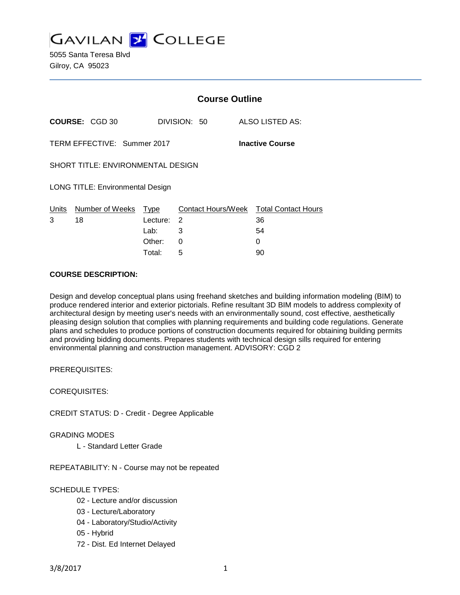

5055 Santa Teresa Blvd Gilroy, CA 95023

|                                                       |                       | <b>Course Outline</b> |                    |                            |
|-------------------------------------------------------|-----------------------|-----------------------|--------------------|----------------------------|
|                                                       | <b>COURSE: CGD 30</b> |                       | DIVISION: 50       | ALSO LISTED AS:            |
| TERM EFFECTIVE: Summer 2017<br><b>Inactive Course</b> |                       |                       |                    |                            |
| <b>SHORT TITLE: ENVIRONMENTAL DESIGN</b>              |                       |                       |                    |                            |
| <b>LONG TITLE: Environmental Design</b>               |                       |                       |                    |                            |
| Units                                                 | Number of Weeks       | Type                  | Contact Hours/Week | <b>Total Contact Hours</b> |
| 3                                                     | 18                    | Lecture:              | 2                  | 36                         |
|                                                       |                       | Lab:                  | 3                  | 54                         |
|                                                       |                       | Other:                | 0                  | 0                          |
|                                                       |                       | Total:                | 5                  | 90                         |

#### **COURSE DESCRIPTION:**

Design and develop conceptual plans using freehand sketches and building information modeling (BIM) to produce rendered interior and exterior pictorials. Refine resultant 3D BIM models to address complexity of architectural design by meeting user's needs with an environmentally sound, cost effective, aesthetically pleasing design solution that complies with planning requirements and building code regulations. Generate plans and schedules to produce portions of construction documents required for obtaining building permits and providing bidding documents. Prepares students with technical design sills required for entering environmental planning and construction management. ADVISORY: CGD 2

PREREQUISITES:

COREQUISITES:

CREDIT STATUS: D - Credit - Degree Applicable

GRADING MODES

L - Standard Letter Grade

REPEATABILITY: N - Course may not be repeated

#### SCHEDULE TYPES:

- 02 Lecture and/or discussion
- 03 Lecture/Laboratory
- 04 Laboratory/Studio/Activity
- 05 Hybrid
- 72 Dist. Ed Internet Delayed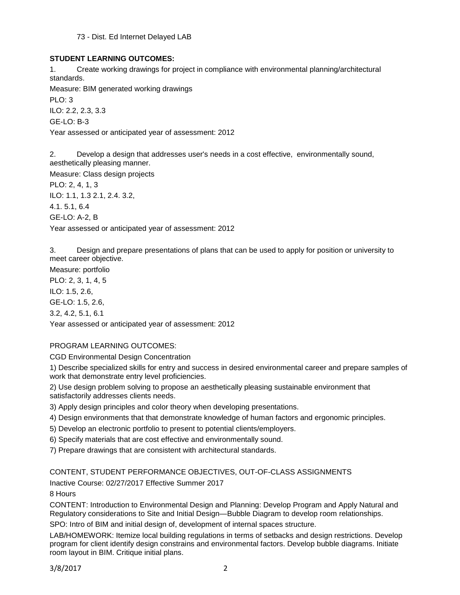73 - Dist. Ed Internet Delayed LAB

### **STUDENT LEARNING OUTCOMES:**

1. Create working drawings for project in compliance with environmental planning/architectural standards.

Measure: BIM generated working drawings

PLO: 3

ILO: 2.2, 2.3, 3.3

GE-LO: B-3

Year assessed or anticipated year of assessment: 2012

2. Develop a design that addresses user's needs in a cost effective, environmentally sound, aesthetically pleasing manner.

Measure: Class design projects

PLO: 2, 4, 1, 3 ILO: 1.1, 1.3 2.1, 2.4. 3.2, 4.1. 5.1, 6.4 GE-LO: A-2, B Year assessed or anticipated year of assessment: 2012

3. Design and prepare presentations of plans that can be used to apply for position or university to meet career objective.

Measure: portfolio

PLO: 2, 3, 1, 4, 5

ILO: 1.5, 2.6,

GE-LO: 1.5, 2.6,

3.2, 4.2, 5.1, 6.1

Year assessed or anticipated year of assessment: 2012

# PROGRAM LEARNING OUTCOMES:

CGD Environmental Design Concentration

1) Describe specialized skills for entry and success in desired environmental career and prepare samples of work that demonstrate entry level proficiencies.

2) Use design problem solving to propose an aesthetically pleasing sustainable environment that satisfactorily addresses clients needs.

3) Apply design principles and color theory when developing presentations.

- 4) Design environments that that demonstrate knowledge of human factors and ergonomic principles.
- 5) Develop an electronic portfolio to present to potential clients/employers.
- 6) Specify materials that are cost effective and environmentally sound.
- 7) Prepare drawings that are consistent with architectural standards.

# CONTENT, STUDENT PERFORMANCE OBJECTIVES, OUT-OF-CLASS ASSIGNMENTS

Inactive Course: 02/27/2017 Effective Summer 2017

8 Hours

CONTENT: Introduction to Environmental Design and Planning: Develop Program and Apply Natural and Regulatory considerations to Site and Initial Design—Bubble Diagram to develop room relationships.

SPO: Intro of BIM and initial design of, development of internal spaces structure.

LAB/HOMEWORK: Itemize local building regulations in terms of setbacks and design restrictions. Develop program for client identify design constrains and environmental factors. Develop bubble diagrams. Initiate room layout in BIM. Critique initial plans.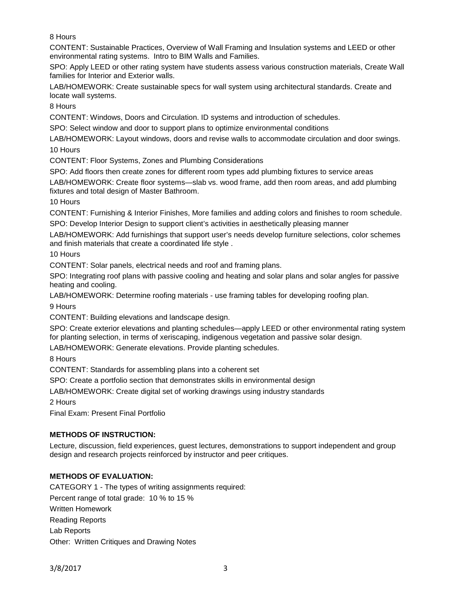8 Hours

CONTENT: Sustainable Practices, Overview of Wall Framing and Insulation systems and LEED or other environmental rating systems. Intro to BIM Walls and Families.

SPO: Apply LEED or other rating system have students assess various construction materials, Create Wall families for Interior and Exterior walls.

LAB/HOMEWORK: Create sustainable specs for wall system using architectural standards. Create and locate wall systems.

8 Hours

CONTENT: Windows, Doors and Circulation. ID systems and introduction of schedules.

SPO: Select window and door to support plans to optimize environmental conditions

LAB/HOMEWORK: Layout windows, doors and revise walls to accommodate circulation and door swings. 10 Hours

CONTENT: Floor Systems, Zones and Plumbing Considerations

SPO: Add floors then create zones for different room types add plumbing fixtures to service areas

LAB/HOMEWORK: Create floor systems—slab vs. wood frame, add then room areas, and add plumbing fixtures and total design of Master Bathroom.

10 Hours

CONTENT: Furnishing & Interior Finishes, More families and adding colors and finishes to room schedule. SPO: Develop Interior Design to support client's activities in aesthetically pleasing manner

LAB/HOMEWORK: Add furnishings that support user's needs develop furniture selections, color schemes and finish materials that create a coordinated life style .

10 Hours

CONTENT: Solar panels, electrical needs and roof and framing plans.

SPO: Integrating roof plans with passive cooling and heating and solar plans and solar angles for passive heating and cooling.

LAB/HOMEWORK: Determine roofing materials - use framing tables for developing roofing plan.

9 Hours

CONTENT: Building elevations and landscape design.

SPO: Create exterior elevations and planting schedules—apply LEED or other environmental rating system for planting selection, in terms of xeriscaping, indigenous vegetation and passive solar design.

LAB/HOMEWORK: Generate elevations. Provide planting schedules.

8 Hours

CONTENT: Standards for assembling plans into a coherent set

SPO: Create a portfolio section that demonstrates skills in environmental design

LAB/HOMEWORK: Create digital set of working drawings using industry standards

2 Hours

Final Exam: Present Final Portfolio

# **METHODS OF INSTRUCTION:**

Lecture, discussion, field experiences, guest lectures, demonstrations to support independent and group design and research projects reinforced by instructor and peer critiques.

# **METHODS OF EVALUATION:**

CATEGORY 1 - The types of writing assignments required: Percent range of total grade: 10 % to 15 % Written Homework Reading Reports Lab Reports Other: Written Critiques and Drawing Notes

3/8/2017 3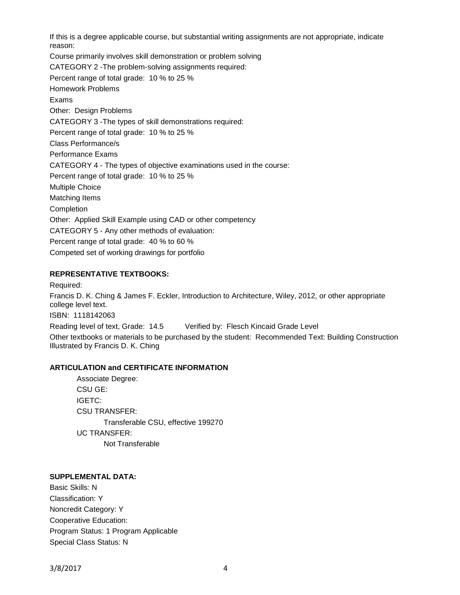If this is a degree applicable course, but substantial writing assignments are not appropriate, indicate reason: Course primarily involves skill demonstration or problem solving CATEGORY 2 -The problem-solving assignments required: Percent range of total grade: 10 % to 25 % Homework Problems Exams Other: Design Problems CATEGORY 3 -The types of skill demonstrations required: Percent range of total grade: 10 % to 25 % Class Performance/s Performance Exams CATEGORY 4 - The types of objective examinations used in the course: Percent range of total grade: 10 % to 25 % Multiple Choice Matching Items Completion Other: Applied Skill Example using CAD or other competency CATEGORY 5 - Any other methods of evaluation: Percent range of total grade: 40 % to 60 % Competed set of working drawings for portfolio

#### **REPRESENTATIVE TEXTBOOKS:**

Required: Francis D. K. Ching & James F. Eckler, Introduction to Architecture, Wiley, 2012, or other appropriate college level text. ISBN: 1118142063 Reading level of text, Grade: 14.5 Verified by: Flesch Kincaid Grade Level Other textbooks or materials to be purchased by the student: Recommended Text: Building Construction Illustrated by Francis D. K. Ching

#### **ARTICULATION and CERTIFICATE INFORMATION**

Associate Degree: CSU GE: IGETC: CSU TRANSFER: Transferable CSU, effective 199270 UC TRANSFER: Not Transferable

#### **SUPPLEMENTAL DATA:**

Basic Skills: N Classification: Y Noncredit Category: Y Cooperative Education: Program Status: 1 Program Applicable Special Class Status: N